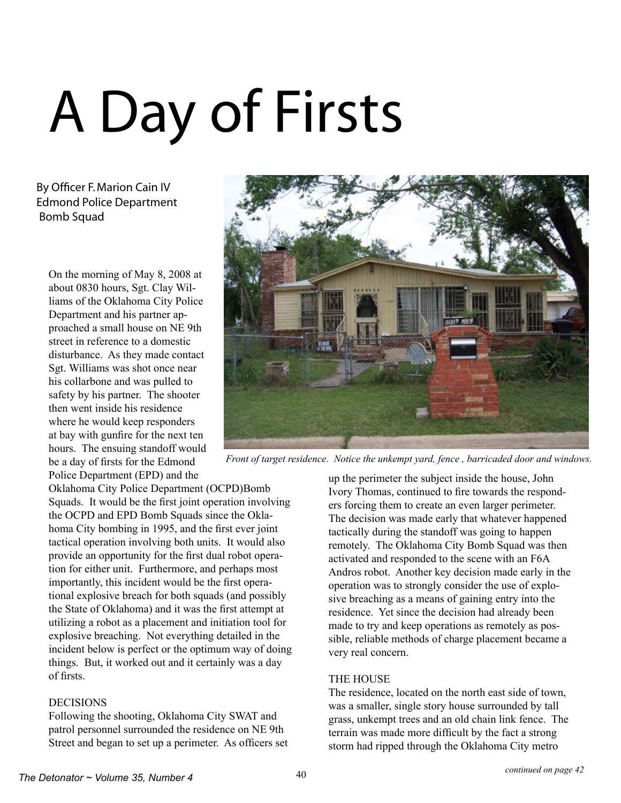# A Day of Firsts

By Officer F. Marion Cain IV Edmond Police Department Bomb Squad

On the morning of May 8, 2008 at about 0830 hours, Sgt. Clay Williams of the Oklahoma City Police Department and his partner approached a small house on NE 9th street in reference to a domestic disturbance. As they made contact Sgt. Williams was shot once near his collarbone and was pulled to safety by his partner. The shooter then went inside his residence where he would keep responders at bay with gunfire for the next ten hours. The ensuing standoff would be a day of firsts for the Edmond Police Department (EPD) and the



*Front of target residence. Notice the unkempt yard, fence , barricaded door and windows.* 

Oklahoma City Police Department (OCPD)Bomb Squads. It would be the first joint operation involving the OCPD and EPD Bomb Squads since the Oklahoma City bombing in 1995, and the first ever joint tactical operation involving both units. It would also provide an opportunity for the first dual robot operation for either unit. Furthermore, and perhaps most importantly, this incident would be the first operational explosive breach for both squads (and possibly the State of Oklahoma) and it was the first attempt at utilizing a robot as a placement and initiation tool for explosive breaching. Not everything detailed in the incident below is perfect or the optimum way of doing things. But, it worked out and it certainly was a day of firsts.

# DECISIONS

Following the shooting, Oklahoma City SWAT and patrol personnel surrounded the residence on NE 9th Street and began to set up a perimeter. As officers set up the perimeter the subject inside the house, John Ivory Thomas, continued to fire towards the responders forcing them to create an even larger perimeter. The decision was made early that whatever happened tactically during the standoff was going to happen remotely. The Oklahoma City Bomb Squad was then activated and responded to the scene with an F6A Andros robot. Another key decision made early in the operation was to strongly consider the use of explosive breaching as a means of gaining entry into the residence. Yet since the decision had already been made to try and keep operations as remotely as possible, reliable methods of charge placement became a very real concern.

#### THE HOUSE

The residence, located on the north east side of town, was a smaller, single story house surrounded by tall grass, unkempt trees and an old chain link fence. The terrain was made more difficult by the fact a strong storm had ripped through the Oklahoma City metro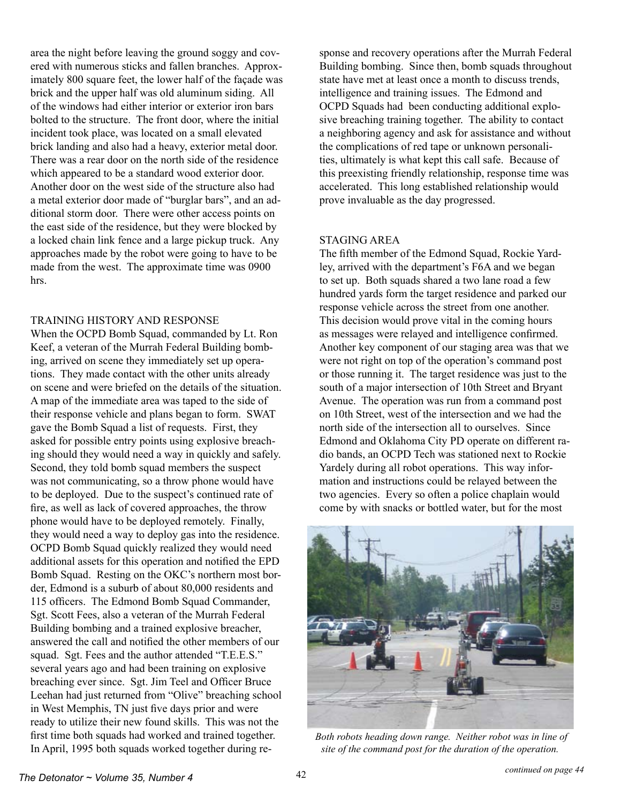area the night before leaving the ground soggy and covered with numerous sticks and fallen branches. Approximately 800 square feet, the lower half of the façade was brick and the upper half was old aluminum siding. All of the windows had either interior or exterior iron bars bolted to the structure. The front door, where the initial incident took place, was located on a small elevated brick landing and also had a heavy, exterior metal door. There was a rear door on the north side of the residence which appeared to be a standard wood exterior door. Another door on the west side of the structure also had a metal exterior door made of "burglar bars", and an additional storm door. There were other access points on the east side of the residence, but they were blocked by a locked chain link fence and a large pickup truck. Any approaches made by the robot were going to have to be made from the west. The approximate time was 0900 hrs.

## TRAINING HISTORY AND RESPONSE

When the OCPD Bomb Squad, commanded by Lt. Ron Keef, a veteran of the Murrah Federal Building bombing, arrived on scene they immediately set up operations. They made contact with the other units already on scene and were briefed on the details of the situation. A map of the immediate area was taped to the side of their response vehicle and plans began to form. SWAT gave the Bomb Squad a list of requests. First, they asked for possible entry points using explosive breaching should they would need a way in quickly and safely. Second, they told bomb squad members the suspect was not communicating, so a throw phone would have to be deployed. Due to the suspect's continued rate of fire, as well as lack of covered approaches, the throw phone would have to be deployed remotely. Finally, they would need a way to deploy gas into the residence. OCPD Bomb Squad quickly realized they would need additional assets for this operation and notified the EPD Bomb Squad. Resting on the OKC's northern most border, Edmond is a suburb of about 80,000 residents and 115 officers. The Edmond Bomb Squad Commander, Sgt. Scott Fees, also a veteran of the Murrah Federal Building bombing and a trained explosive breacher, answered the call and notified the other members of our squad. Sgt. Fees and the author attended "T.E.E.S." several years ago and had been training on explosive breaching ever since. Sgt. Jim Teel and Officer Bruce Leehan had just returned from "Olive" breaching school in West Memphis, TN just five days prior and were ready to utilize their new found skills. This was not the first time both squads had worked and trained together. In April, 1995 both squads worked together during response and recovery operations after the Murrah Federal Building bombing. Since then, bomb squads throughout state have met at least once a month to discuss trends, intelligence and training issues. The Edmond and OCPD Squads had been conducting additional explosive breaching training together. The ability to contact a neighboring agency and ask for assistance and without the complications of red tape or unknown personalities, ultimately is what kept this call safe. Because of this preexisting friendly relationship, response time was accelerated. This long established relationship would prove invaluable as the day progressed.

#### STAGING AREA

The fifth member of the Edmond Squad, Rockie Yardley, arrived with the department's F6A and we began to set up. Both squads shared a two lane road a few hundred yards form the target residence and parked our response vehicle across the street from one another. This decision would prove vital in the coming hours as messages were relayed and intelligence confirmed. Another key component of our staging area was that we were not right on top of the operation's command post or those running it. The target residence was just to the south of a major intersection of 10th Street and Bryant Avenue. The operation was run from a command post on 10th Street, west of the intersection and we had the north side of the intersection all to ourselves. Since Edmond and Oklahoma City PD operate on different radio bands, an OCPD Tech was stationed next to Rockie Yardely during all robot operations. This way information and instructions could be relayed between the two agencies. Every so often a police chaplain would come by with snacks or bottled water, but for the most



 *Both robots heading down range. Neither robot was in line of site of the command post for the duration of the operation.*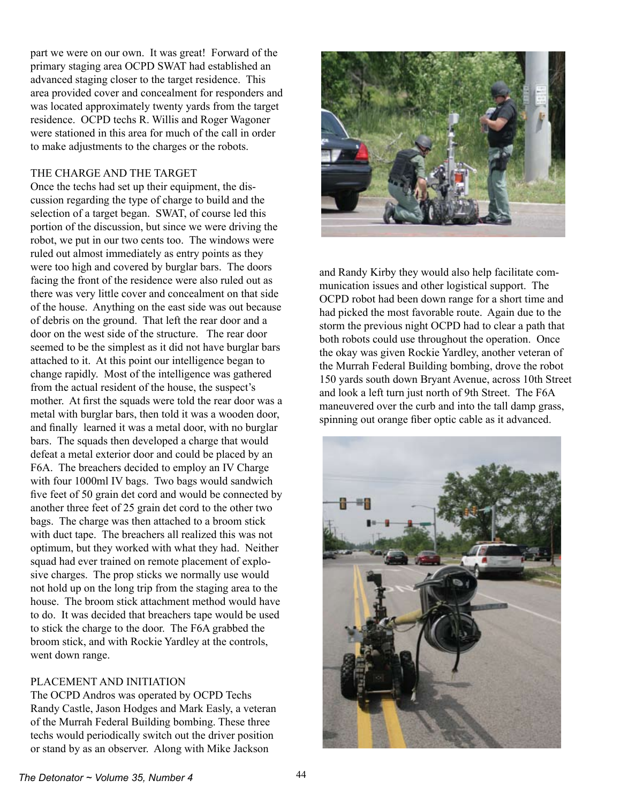part we were on our own. It was great! Forward of the primary staging area OCPD SWAT had established an advanced staging closer to the target residence. This area provided cover and concealment for responders and was located approximately twenty yards from the target residence. OCPD techs R. Willis and Roger Wagoner were stationed in this area for much of the call in order to make adjustments to the charges or the robots.

#### THE CHARGE AND THE TARGET

Once the techs had set up their equipment, the discussion regarding the type of charge to build and the selection of a target began. SWAT, of course led this portion of the discussion, but since we were driving the robot, we put in our two cents too. The windows were ruled out almost immediately as entry points as they were too high and covered by burglar bars. The doors facing the front of the residence were also ruled out as there was very little cover and concealment on that side of the house. Anything on the east side was out because of debris on the ground. That left the rear door and a door on the west side of the structure. The rear door seemed to be the simplest as it did not have burglar bars attached to it. At this point our intelligence began to change rapidly. Most of the intelligence was gathered from the actual resident of the house, the suspect's mother. At first the squads were told the rear door was a metal with burglar bars, then told it was a wooden door, and finally learned it was a metal door, with no burglar bars. The squads then developed a charge that would defeat a metal exterior door and could be placed by an F6A. The breachers decided to employ an IV Charge with four 1000ml IV bags. Two bags would sandwich five feet of 50 grain det cord and would be connected by another three feet of 25 grain det cord to the other two bags. The charge was then attached to a broom stick with duct tape. The breachers all realized this was not optimum, but they worked with what they had. Neither squad had ever trained on remote placement of explosive charges. The prop sticks we normally use would not hold up on the long trip from the staging area to the house. The broom stick attachment method would have to do. It was decided that breachers tape would be used to stick the charge to the door. The F6A grabbed the broom stick, and with Rockie Yardley at the controls, went down range.

#### PLACEMENT AND INITIATION

The OCPD Andros was operated by OCPD Techs Randy Castle, Jason Hodges and Mark Easly, a veteran of the Murrah Federal Building bombing. These three techs would periodically switch out the driver position or stand by as an observer. Along with Mike Jackson



and Randy Kirby they would also help facilitate communication issues and other logistical support. The OCPD robot had been down range for a short time and had picked the most favorable route. Again due to the storm the previous night OCPD had to clear a path that both robots could use throughout the operation. Once the okay was given Rockie Yardley, another veteran of the Murrah Federal Building bombing, drove the robot 150 yards south down Bryant Avenue, across 10th Street and look a left turn just north of 9th Street. The F6A maneuvered over the curb and into the tall damp grass, spinning out orange fiber optic cable as it advanced.

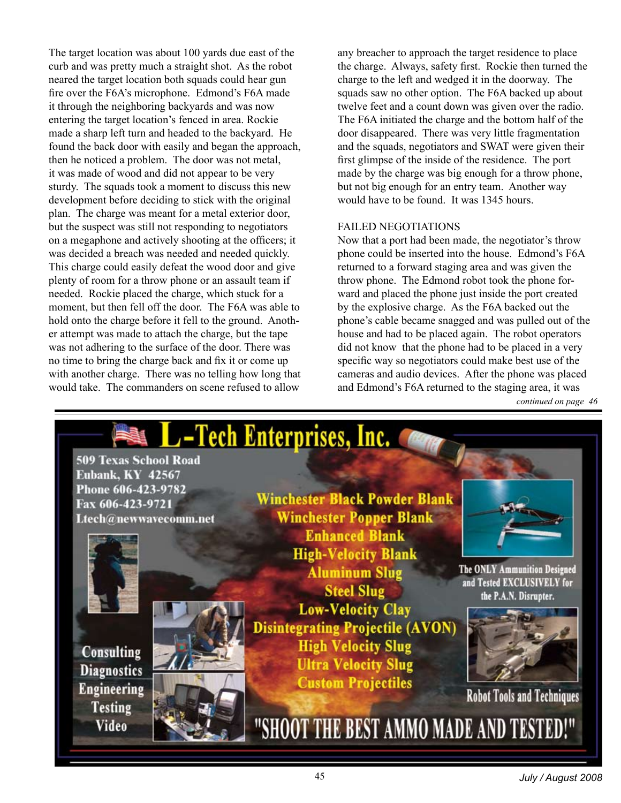The target location was about 100 yards due east of the curb and was pretty much a straight shot. As the robot neared the target location both squads could hear gun fire over the F6A's microphone. Edmond's F6A made it through the neighboring backyards and was now entering the target location's fenced in area. Rockie made a sharp left turn and headed to the backyard. He found the back door with easily and began the approach, then he noticed a problem. The door was not metal, it was made of wood and did not appear to be very sturdy. The squads took a moment to discuss this new development before deciding to stick with the original plan. The charge was meant for a metal exterior door, but the suspect was still not responding to negotiators on a megaphone and actively shooting at the officers; it was decided a breach was needed and needed quickly. This charge could easily defeat the wood door and give plenty of room for a throw phone or an assault team if needed. Rockie placed the charge, which stuck for a moment, but then fell off the door. The F6A was able to hold onto the charge before it fell to the ground. Another attempt was made to attach the charge, but the tape was not adhering to the surface of the door. There was no time to bring the charge back and fix it or come up with another charge. There was no telling how long that would take. The commanders on scene refused to allow

any breacher to approach the target residence to place the charge. Always, safety first. Rockie then turned the charge to the left and wedged it in the doorway. The squads saw no other option. The F6A backed up about twelve feet and a count down was given over the radio. The F6A initiated the charge and the bottom half of the door disappeared. There was very little fragmentation and the squads, negotiators and SWAT were given their first glimpse of the inside of the residence. The port made by the charge was big enough for a throw phone, but not big enough for an entry team. Another way would have to be found. It was 1345 hours.

## FAILED NEGOTIATIONS

Now that a port had been made, the negotiator's throw phone could be inserted into the house. Edmond's F6A returned to a forward staging area and was given the throw phone. The Edmond robot took the phone forward and placed the phone just inside the port created by the explosive charge. As the F6A backed out the phone's cable became snagged and was pulled out of the house and had to be placed again. The robot operators did not know that the phone had to be placed in a very specific way so negotiators could make best use of the cameras and audio devices. After the phone was placed and Edmond's F6A returned to the staging area, it was



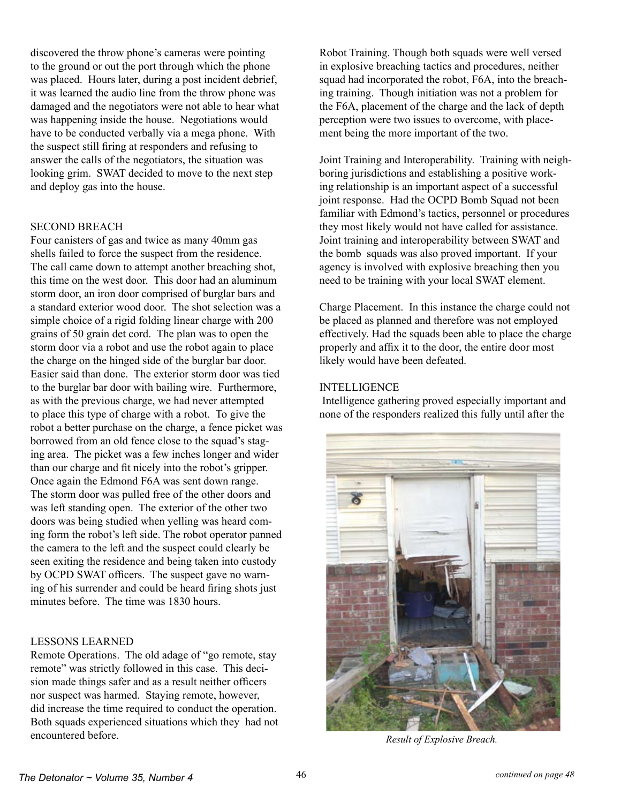discovered the throw phone's cameras were pointing to the ground or out the port through which the phone was placed. Hours later, during a post incident debrief, it was learned the audio line from the throw phone was damaged and the negotiators were not able to hear what was happening inside the house. Negotiations would have to be conducted verbally via a mega phone. With the suspect still firing at responders and refusing to answer the calls of the negotiators, the situation was looking grim. SWAT decided to move to the next step and deploy gas into the house.

#### SECOND BREACH

Four canisters of gas and twice as many 40mm gas shells failed to force the suspect from the residence. The call came down to attempt another breaching shot, this time on the west door. This door had an aluminum storm door, an iron door comprised of burglar bars and a standard exterior wood door. The shot selection was a simple choice of a rigid folding linear charge with 200 grains of 50 grain det cord. The plan was to open the storm door via a robot and use the robot again to place the charge on the hinged side of the burglar bar door. Easier said than done. The exterior storm door was tied to the burglar bar door with bailing wire. Furthermore, as with the previous charge, we had never attempted to place this type of charge with a robot. To give the robot a better purchase on the charge, a fence picket was borrowed from an old fence close to the squad's staging area. The picket was a few inches longer and wider than our charge and fit nicely into the robot's gripper. Once again the Edmond F6A was sent down range. The storm door was pulled free of the other doors and was left standing open. The exterior of the other two doors was being studied when yelling was heard coming form the robot's left side. The robot operator panned the camera to the left and the suspect could clearly be seen exiting the residence and being taken into custody by OCPD SWAT officers. The suspect gave no warning of his surrender and could be heard firing shots just minutes before. The time was 1830 hours.

#### LESSONS LEARNED

Remote Operations. The old adage of "go remote, stay remote" was strictly followed in this case. This decision made things safer and as a result neither officers nor suspect was harmed. Staying remote, however, did increase the time required to conduct the operation. Both squads experienced situations which they had not encountered before.

Robot Training. Though both squads were well versed in explosive breaching tactics and procedures, neither squad had incorporated the robot, F6A, into the breaching training. Though initiation was not a problem for the F6A, placement of the charge and the lack of depth perception were two issues to overcome, with placement being the more important of the two.

Joint Training and Interoperability. Training with neighboring jurisdictions and establishing a positive working relationship is an important aspect of a successful joint response. Had the OCPD Bomb Squad not been familiar with Edmond's tactics, personnel or procedures they most likely would not have called for assistance. Joint training and interoperability between SWAT and the bomb squads was also proved important. If your agency is involved with explosive breaching then you need to be training with your local SWAT element.

Charge Placement. In this instance the charge could not be placed as planned and therefore was not employed effectively. Had the squads been able to place the charge properly and affix it to the door, the entire door most likely would have been defeated.

#### INTELLIGENCE

 Intelligence gathering proved especially important and none of the responders realized this fully until after the



*Result of Explosive Breach.*